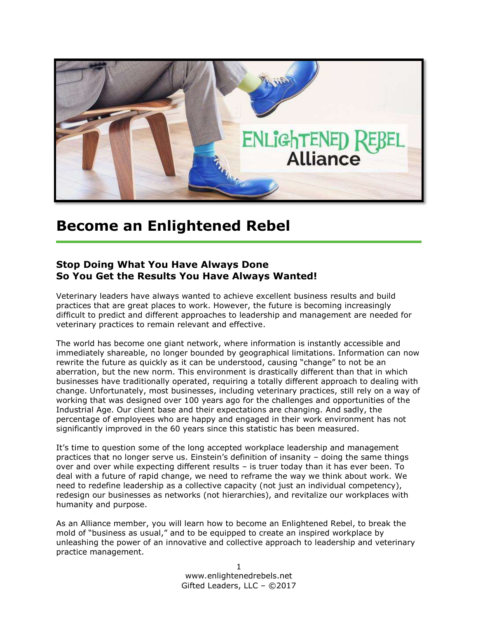

### **Become an Enlightened Rebel**

#### **Stop Doing What You Have Always Done So You Get the Results You Have Always Wanted!**

Veterinary leaders have always wanted to achieve excellent business results and build practices that are great places to work. However, the future is becoming increasingly difficult to predict and different approaches to leadership and management are needed for veterinary practices to remain relevant and effective.

The world has become one giant network, where information is instantly accessible and immediately shareable, no longer bounded by geographical limitations. Information can now rewrite the future as quickly as it can be understood, causing "change" to not be an aberration, but the new norm. This environment is drastically different than that in which businesses have traditionally operated, requiring a totally different approach to dealing with change. Unfortunately, most businesses, including veterinary practices, still rely on a way of working that was designed over 100 years ago for the challenges and opportunities of the Industrial Age. Our client base and their expectations are changing. And sadly, the percentage of employees who are happy and engaged in their work environment has not significantly improved in the 60 years since this statistic has been measured.

It's time to question some of the long accepted workplace leadership and management practices that no longer serve us. Einstein's definition of insanity – doing the same things over and over while expecting different results – is truer today than it has ever been. To deal with a future of rapid change, we need to reframe the way we think about work. We need to redefine leadership as a collective capacity (not just an individual competency), redesign our businesses as networks (not hierarchies), and revitalize our workplaces with humanity and purpose.

As an Alliance member, you will learn how to become an Enlightened Rebel, to break the mold of "business as usual," and to be equipped to create an inspired workplace by unleashing the power of an innovative and collective approach to leadership and veterinary practice management.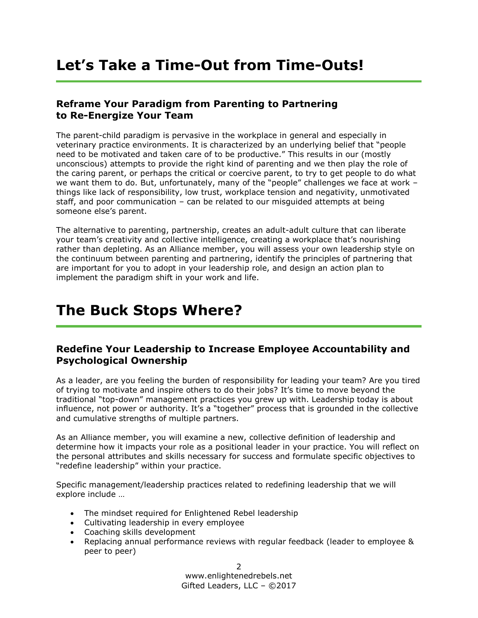## **Let's Take a Time-Out from Time-Outs!**

#### **Reframe Your Paradigm from Parenting to Partnering to Re-Energize Your Team**

The parent-child paradigm is pervasive in the workplace in general and especially in veterinary practice environments. It is characterized by an underlying belief that "people need to be motivated and taken care of to be productive." This results in our (mostly unconscious) attempts to provide the right kind of parenting and we then play the role of the caring parent, or perhaps the critical or coercive parent, to try to get people to do what we want them to do. But, unfortunately, many of the "people" challenges we face at work – things like lack of responsibility, low trust, workplace tension and negativity, unmotivated staff, and poor communication – can be related to our misguided attempts at being someone else's parent.

The alternative to parenting, partnership, creates an adult-adult culture that can liberate your team's creativity and collective intelligence, creating a workplace that's nourishing rather than depleting. As an Alliance member, you will assess your own leadership style on the continuum between parenting and partnering, identify the principles of partnering that are important for you to adopt in your leadership role, and design an action plan to implement the paradigm shift in your work and life.

## **The Buck Stops Where?**

#### **Redefine Your Leadership to Increase Employee Accountability and Psychological Ownership**

As a leader, are you feeling the burden of responsibility for leading your team? Are you tired of trying to motivate and inspire others to do their jobs? It's time to move beyond the traditional "top-down" management practices you grew up with. Leadership today is about influence, not power or authority. It's a "together" process that is grounded in the collective and cumulative strengths of multiple partners.

As an Alliance member, you will examine a new, collective definition of leadership and determine how it impacts your role as a positional leader in your practice. You will reflect on the personal attributes and skills necessary for success and formulate specific objectives to "redefine leadership" within your practice.

Specific management/leadership practices related to redefining leadership that we will explore include …

- The mindset required for Enlightened Rebel leadership
- Cultivating leadership in every employee
- Coaching skills development
- Replacing annual performance reviews with regular feedback (leader to employee & peer to peer)

2 www.enlightenedrebels.net Gifted Leaders, LLC – ©2017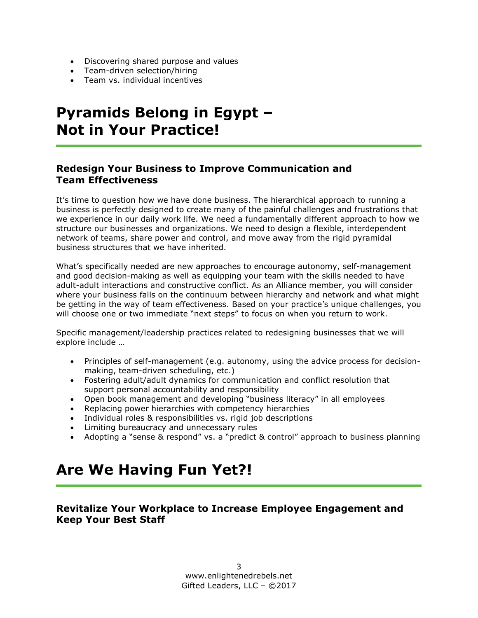- Discovering shared purpose and values
- Team-driven selection/hiring
- Team vs. individual incentives

# **Pyramids Belong in Egypt – Not in Your Practice!**

#### **Redesign Your Business to Improve Communication and Team Effectiveness**

It's time to question how we have done business. The hierarchical approach to running a business is perfectly designed to create many of the painful challenges and frustrations that we experience in our daily work life. We need a fundamentally different approach to how we structure our businesses and organizations. We need to design a flexible, interdependent network of teams, share power and control, and move away from the rigid pyramidal business structures that we have inherited.

What's specifically needed are new approaches to encourage autonomy, self-management and good decision-making as well as equipping your team with the skills needed to have adult-adult interactions and constructive conflict. As an Alliance member, you will consider where your business falls on the continuum between hierarchy and network and what might be getting in the way of team effectiveness. Based on your practice's unique challenges, you will choose one or two immediate "next steps" to focus on when you return to work.

Specific management/leadership practices related to redesigning businesses that we will explore include …

- Principles of self-management (e.g. autonomy, using the advice process for decisionmaking, team-driven scheduling, etc.)
- Fostering adult/adult dynamics for communication and conflict resolution that support personal accountability and responsibility
- Open book management and developing "business literacy" in all employees
- Replacing power hierarchies with competency hierarchies
- Individual roles & responsibilities vs. rigid job descriptions
- Limiting bureaucracy and unnecessary rules
- Adopting a "sense & respond" vs. a "predict & control" approach to business planning

# **Are We Having Fun Yet?!**

#### **Revitalize Your Workplace to Increase Employee Engagement and Keep Your Best Staff**